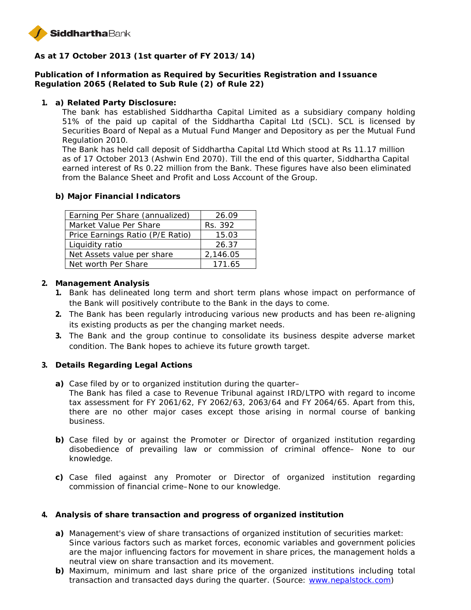

**As at 17 October 2013 (1st quarter of FY 2013/14)**

**Publication of Information as Required by Securities Registration and Issuance Regulation 2065 (Related to Sub Rule (2) of Rule 22)**

**1. a) Related Party Disclosure:**

The bank has established Siddhartha Capital Limited as a subsidiary company holding 51% of the paid up capital of the Siddhartha Capital Ltd (SCL). SCL is licensed by Securities Board of Nepal as a Mutual Fund Manger and Depository as per the Mutual Fund Regulation 2010.

The Bank has held call deposit of Siddhartha Capital Ltd Which stood at Rs 11.17 million as of 17 October 2013 (Ashwin End 2070). Till the end of this quarter, Siddhartha Capital earned interest of Rs 0.22 million from the Bank. These figures have also been eliminated from the Balance Sheet and Profit and Loss Account of the Group.

**b) Major Financial Indicators**

| Earning Per Share (annualized)   | 26.09    |
|----------------------------------|----------|
| Market Value Per Share           | Rs. 392  |
| Price Earnings Ratio (P/E Ratio) | 15.03    |
| Liquidity ratio                  | 26.37    |
| Net Assets value per share       | 2,146.05 |
| Net worth Per Share              | 171 65   |

- **2. Management Analysis**
	- **1.** Bank has delineated long term and short term plans whose impact on performance of the Bank will positively contribute to the Bank in the days to come.
	- **2.** The Bank has been regularly introducing various new products and has been re-aligning its existing products as per the changing market needs.
	- **3.** The Bank and the group continue to consolidate its business despite adverse market condition. The Bank hopes to achieve its future growth target.
- **3. Details Regarding Legal Actions**
	- **a)** Case filed by or to organized institution during the quarter–
		- The Bank has filed a case to Revenue Tribunal against IRD/LTPO with regard to income tax assessment for FY 2061/62, FY 2062/63, 2063/64 and FY 2064/65. Apart from this, there are no other major cases except those arising in normal course of banking business.
	- **b)** Case filed by or against the Promoter or Director of organized institution regarding disobedience of prevailing law or commission of criminal offence– None to our knowledge.
	- **c)** Case filed against any Promoter or Director of organized institution regarding commission of financial crime–None to our knowledge.
- **4. Analysis of share transaction and progress of organized institution**
	- **a)** Management's view of share transactions of organized institution of securities market: Since various factors such as market forces, economic variables and government policies are the major influencing factors for movement in share prices, the management holds a neutral view on share transaction and its movement.
	- **b)** Maximum, minimum and last share price of the organized institutions including total transaction and transacted days during the quarter. (Source: www.nepalstock.com)